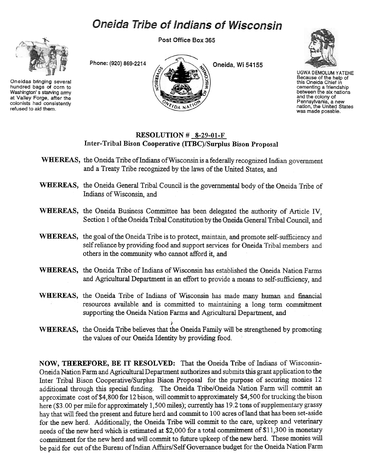## **Oneida Tribe of Indians of Wisconsin**

Post Office Box 365

Oneidas bringing several hundred bags of corn to Washington's starving army at Valley Forge. after the colonists had consistently refused to aid them.





UGWA DEMOLUM YATEHE Because of the help of this Oneida Chief in cementing a friendship between the six nations and the colony of Pennsylvania, a new nation, the United States was made possble.

## RESOLUTION # 8-29-01-F Inter-Tribal Bison Cooperative (ITBC)/Surplus Bison Proposal

- WHEREAS, the Oneida Tribe of Indians of Wisconsin is a federally recognized Indian government and a Treary Tribe recognized by the laws of the United States, and
- WHEREAS, the Oneida General Tribal Council is the governmental body of the Oneida Tribe of Indians of Wisconsin, and
- WHEREAS, the Oneida Business Committee has been delegated the authority of Article IV, Section 1 of the Oneida Tribal Constitution by the Oneida General Tribal Council, and
- WHEREAS, the goal of the Oneida Tribe is to protect, maintain, and promote self-sufficiency and self reliance by providing food and support services for Oneida Tribal members and others in the community who cannot afford it, and
- WHEREAS, the Oneida Tribe of Indians of Wisconsin has established the Oneida Nation Farms and Agricultural Department in an effort to provide a means to self-sufficiency, and
- WHEREAS, the Oneida Tribe of Indians of Wisconsin has made many human and financial resources available and is committed to maintaining a long term commitment supporting the Oneida Nation Farms and Agricultural Department, and
- ) WHEREAS, the Oneida Tribe believes that the Oneida Family will be strengthened by promoting the values of our Oneida Identity by providing food.

NOW, THEREFORE, BE IT RESOLVED: That the Oneida Tribe of Indians of Wisconsin-Oneida Nation Farm and Agricultural Department authorizes and submits this grant application to the Inter Tribal Bison Cooperative/Surplus Bison Proposal for the purpose of securing monies 12 additional through this special funding. The Oneida Tribe/Oneida Nation Farm will commit an approximate cost of\$4,800 for 12 bison, will commit to approximately \$4,500 for trucking the bison here (\$3.00 per mile for approximately 1,500 miles); currently has 19.2 tons of supplementary grassy hay that will feed the present and future herd and commit to 100 acres of land that has been set-aside for the new herd. Additionally, the Oneida Tribe will commit to the care, upkeep and veterinary needs of the new herd which is estimated at \$2,000 for a total commitment of \$11,300 in monetary commitment for the new herd and will commit to future upkeep of the new herd. These monies will be paid for out of the Bureau of Indian Affairs/Self Govemance budget for the Oneida Nation Farm